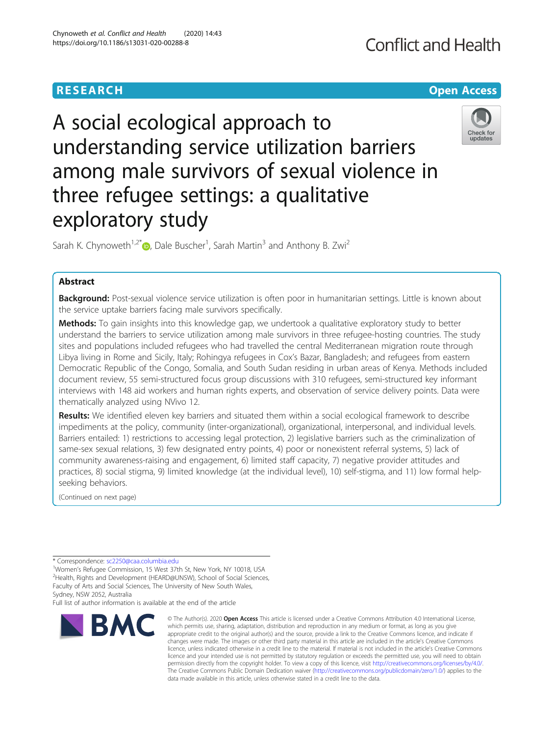# **RESEARCH CHE Open Access**

# A social ecological approach to understanding service utilization barriers among male survivors of sexual violence in three refugee settings: a qualitative exploratory study



Sarah K. Chynoweth<sup>1[,](http://orcid.org/0000-0001-7111-9867)2\*</sup> $\bullet$ , Dale Buscher<sup>1</sup>, Sarah Martin<sup>3</sup> and Anthony B. Zwi<sup>2</sup>

# Abstract

Background: Post-sexual violence service utilization is often poor in humanitarian settings. Little is known about the service uptake barriers facing male survivors specifically.

Methods: To gain insights into this knowledge gap, we undertook a qualitative exploratory study to better understand the barriers to service utilization among male survivors in three refugee-hosting countries. The study sites and populations included refugees who had travelled the central Mediterranean migration route through Libya living in Rome and Sicily, Italy; Rohingya refugees in Cox's Bazar, Bangladesh; and refugees from eastern Democratic Republic of the Congo, Somalia, and South Sudan residing in urban areas of Kenya. Methods included document review, 55 semi-structured focus group discussions with 310 refugees, semi-structured key informant interviews with 148 aid workers and human rights experts, and observation of service delivery points. Data were thematically analyzed using NVivo 12.

Results: We identified eleven key barriers and situated them within a social ecological framework to describe impediments at the policy, community (inter-organizational), organizational, interpersonal, and individual levels. Barriers entailed: 1) restrictions to accessing legal protection, 2) legislative barriers such as the criminalization of same-sex sexual relations, 3) few designated entry points, 4) poor or nonexistent referral systems, 5) lack of community awareness-raising and engagement, 6) limited staff capacity, 7) negative provider attitudes and practices, 8) social stigma, 9) limited knowledge (at the individual level), 10) self-stigma, and 11) low formal helpseeking behaviors.

(Continued on next page)

Sydney, NSW 2052, Australia

Full list of author information is available at the end of the article



<sup>©</sup> The Author(s), 2020 **Open Access** This article is licensed under a Creative Commons Attribution 4.0 International License, which permits use, sharing, adaptation, distribution and reproduction in any medium or format, as long as you give appropriate credit to the original author(s) and the source, provide a link to the Creative Commons licence, and indicate if changes were made. The images or other third party material in this article are included in the article's Creative Commons licence, unless indicated otherwise in a credit line to the material. If material is not included in the article's Creative Commons licence and your intended use is not permitted by statutory regulation or exceeds the permitted use, you will need to obtain permission directly from the copyright holder. To view a copy of this licence, visit [http://creativecommons.org/licenses/by/4.0/.](http://creativecommons.org/licenses/by/4.0/) The Creative Commons Public Domain Dedication waiver [\(http://creativecommons.org/publicdomain/zero/1.0/](http://creativecommons.org/publicdomain/zero/1.0/)) applies to the data made available in this article, unless otherwise stated in a credit line to the data.

<sup>\*</sup> Correspondence: [sc2250@caa.columbia.edu](mailto:sc2250@caa.columbia.edu) <sup>1</sup>

<sup>&</sup>lt;sup>1</sup>Women's Refugee Commission, 15 West 37th St, New York, NY 10018, USA

<sup>&</sup>lt;sup>2</sup>Health, Rights and Development (HEARD@UNSW), School of Social Sciences, Faculty of Arts and Social Sciences, The University of New South Wales,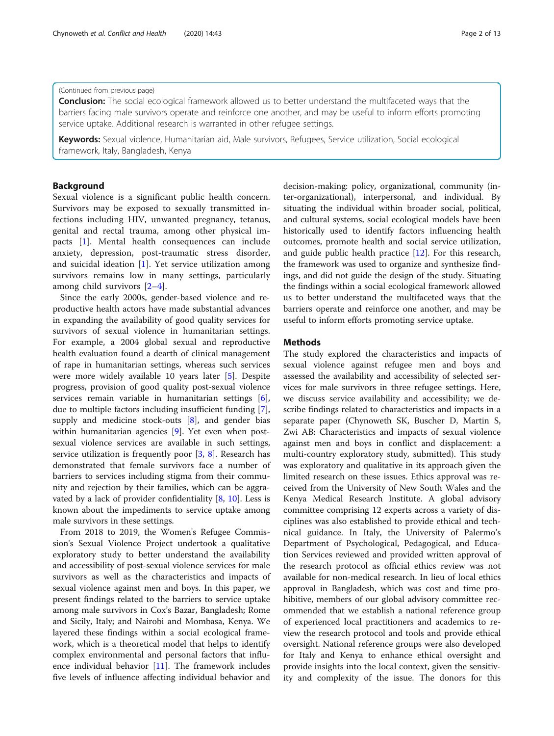# Chynoweth et al. Conflict and Health (2020) 14:43 Page 2 of 13

### (Continued from previous page)

**Conclusion:** The social ecological framework allowed us to better understand the multifaceted ways that the barriers facing male survivors operate and reinforce one another, and may be useful to inform efforts promoting service uptake. Additional research is warranted in other refugee settings.

Keywords: Sexual violence, Humanitarian aid, Male survivors, Refugees, Service utilization, Social ecological framework, Italy, Bangladesh, Kenya

# Background

Sexual violence is a significant public health concern. Survivors may be exposed to sexually transmitted infections including HIV, unwanted pregnancy, tetanus, genital and rectal trauma, among other physical impacts [\[1](#page-11-0)]. Mental health consequences can include anxiety, depression, post-traumatic stress disorder, and suicidal ideation [[1\]](#page-11-0). Yet service utilization among survivors remains low in many settings, particularly among child survivors [\[2](#page-11-0)–[4](#page-11-0)].

Since the early 2000s, gender-based violence and reproductive health actors have made substantial advances in expanding the availability of good quality services for survivors of sexual violence in humanitarian settings. For example, a 2004 global sexual and reproductive health evaluation found a dearth of clinical management of rape in humanitarian settings, whereas such services were more widely available 10 years later [[5\]](#page-11-0). Despite progress, provision of good quality post-sexual violence services remain variable in humanitarian settings [\[6](#page-11-0)], due to multiple factors including insufficient funding [\[7](#page-11-0)], supply and medicine stock-outs [\[8](#page-11-0)], and gender bias within humanitarian agencies [[9\]](#page-11-0). Yet even when postsexual violence services are available in such settings, service utilization is frequently poor [[3,](#page-11-0) [8](#page-11-0)]. Research has demonstrated that female survivors face a number of barriers to services including stigma from their community and rejection by their families, which can be aggravated by a lack of provider confidentiality  $[8, 10]$  $[8, 10]$  $[8, 10]$  $[8, 10]$ . Less is known about the impediments to service uptake among male survivors in these settings.

From 2018 to 2019, the Women's Refugee Commission's Sexual Violence Project undertook a qualitative exploratory study to better understand the availability and accessibility of post-sexual violence services for male survivors as well as the characteristics and impacts of sexual violence against men and boys. In this paper, we present findings related to the barriers to service uptake among male survivors in Cox's Bazar, Bangladesh; Rome and Sicily, Italy; and Nairobi and Mombasa, Kenya. We layered these findings within a social ecological framework, which is a theoretical model that helps to identify complex environmental and personal factors that influence individual behavior [[11](#page-11-0)]. The framework includes five levels of influence affecting individual behavior and decision-making: policy, organizational, community (inter-organizational), interpersonal, and individual. By situating the individual within broader social, political, and cultural systems, social ecological models have been historically used to identify factors influencing health outcomes, promote health and social service utilization, and guide public health practice [[12\]](#page-11-0). For this research, the framework was used to organize and synthesize findings, and did not guide the design of the study. Situating the findings within a social ecological framework allowed us to better understand the multifaceted ways that the barriers operate and reinforce one another, and may be useful to inform efforts promoting service uptake.

# **Methods**

The study explored the characteristics and impacts of sexual violence against refugee men and boys and assessed the availability and accessibility of selected services for male survivors in three refugee settings. Here, we discuss service availability and accessibility; we describe findings related to characteristics and impacts in a separate paper (Chynoweth SK, Buscher D, Martin S, Zwi AB: Characteristics and impacts of sexual violence against men and boys in conflict and displacement: a multi-country exploratory study, submitted). This study was exploratory and qualitative in its approach given the limited research on these issues. Ethics approval was received from the University of New South Wales and the Kenya Medical Research Institute. A global advisory committee comprising 12 experts across a variety of disciplines was also established to provide ethical and technical guidance. In Italy, the University of Palermo's Department of Psychological, Pedagogical, and Education Services reviewed and provided written approval of the research protocol as official ethics review was not available for non-medical research. In lieu of local ethics approval in Bangladesh, which was cost and time prohibitive, members of our global advisory committee recommended that we establish a national reference group of experienced local practitioners and academics to review the research protocol and tools and provide ethical oversight. National reference groups were also developed for Italy and Kenya to enhance ethical oversight and provide insights into the local context, given the sensitivity and complexity of the issue. The donors for this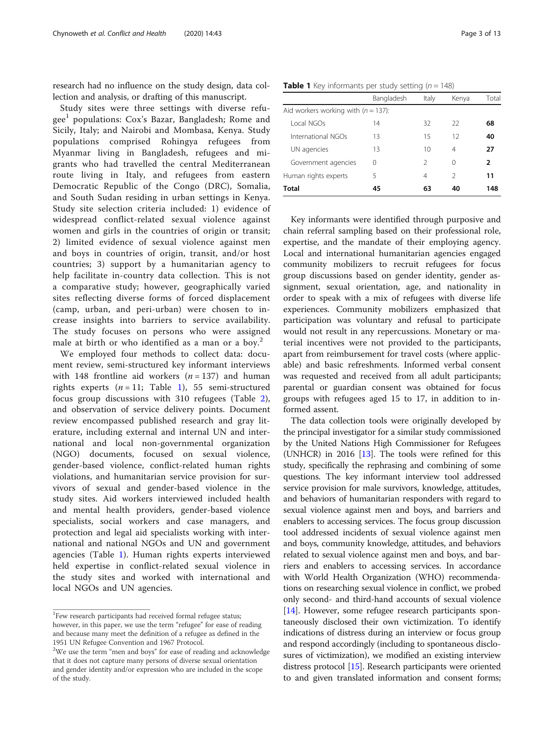research had no influence on the study design, data collection and analysis, or drafting of this manuscript.

Study sites were three settings with diverse refugee<sup>1</sup> populations: Cox's Bazar, Bangladesh; Rome and Sicily, Italy; and Nairobi and Mombasa, Kenya. Study populations comprised Rohingya refugees from Myanmar living in Bangladesh, refugees and migrants who had travelled the central Mediterranean route living in Italy, and refugees from eastern Democratic Republic of the Congo (DRC), Somalia, and South Sudan residing in urban settings in Kenya. Study site selection criteria included: 1) evidence of widespread conflict-related sexual violence against women and girls in the countries of origin or transit; 2) limited evidence of sexual violence against men and boys in countries of origin, transit, and/or host countries; 3) support by a humanitarian agency to help facilitate in-country data collection. This is not a comparative study; however, geographically varied sites reflecting diverse forms of forced displacement (camp, urban, and peri-urban) were chosen to increase insights into barriers to service availability. The study focuses on persons who were assigned male at birth or who identified as a man or a boy.<sup>2</sup>

We employed four methods to collect data: document review, semi-structured key informant interviews with 148 frontline aid workers  $(n = 137)$  and human rights experts  $(n = 11;$  Table 1), 55 semi-structured focus group discussions with 310 refugees (Table [2](#page-3-0)), and observation of service delivery points. Document review encompassed published research and gray literature, including external and internal UN and international and local non-governmental organization (NGO) documents, focused on sexual violence, gender-based violence, conflict-related human rights violations, and humanitarian service provision for survivors of sexual and gender-based violence in the study sites. Aid workers interviewed included health and mental health providers, gender-based violence specialists, social workers and case managers, and protection and legal aid specialists working with international and national NGOs and UN and government agencies (Table 1). Human rights experts interviewed held expertise in conflict-related sexual violence in the study sites and worked with international and local NGOs and UN agencies.

|                                        | Bangladesh | Italy | Kenya | Total |
|----------------------------------------|------------|-------|-------|-------|
| Aid workers working with $(n = 137)$ : |            |       |       |       |

**Table 1** Key informants per study setting  $(n = 148)$ 

| Total                                  | 45               | 63 | 40 | 148 |
|----------------------------------------|------------------|----|----|-----|
| Human rights experts                   | 5                | 4  |    | 11  |
| Government agencies                    | $\left( \right)$ |    | 0  | 2   |
| UN agencies                            | 13               | 10 | 4  | 27  |
| International NGOs                     | 13               | 15 | 12 | 40  |
| Local NGOs                             | 14               | 32 | 22 | 68  |
| Aid workers working with $(n = 137)$ : |                  |    |    |     |

Key informants were identified through purposive and chain referral sampling based on their professional role, expertise, and the mandate of their employing agency. Local and international humanitarian agencies engaged community mobilizers to recruit refugees for focus group discussions based on gender identity, gender assignment, sexual orientation, age, and nationality in order to speak with a mix of refugees with diverse life experiences. Community mobilizers emphasized that participation was voluntary and refusal to participate would not result in any repercussions. Monetary or material incentives were not provided to the participants, apart from reimbursement for travel costs (where applicable) and basic refreshments. Informed verbal consent was requested and received from all adult participants; parental or guardian consent was obtained for focus groups with refugees aged 15 to 17, in addition to informed assent.

The data collection tools were originally developed by the principal investigator for a similar study commissioned by the United Nations High Commissioner for Refugees (UNHCR) in 2016  $[13]$  $[13]$  $[13]$ . The tools were refined for this study, specifically the rephrasing and combining of some questions. The key informant interview tool addressed service provision for male survivors, knowledge, attitudes, and behaviors of humanitarian responders with regard to sexual violence against men and boys, and barriers and enablers to accessing services. The focus group discussion tool addressed incidents of sexual violence against men and boys, community knowledge, attitudes, and behaviors related to sexual violence against men and boys, and barriers and enablers to accessing services. In accordance with World Health Organization (WHO) recommendations on researching sexual violence in conflict, we probed only second- and third-hand accounts of sexual violence [[14](#page-11-0)]. However, some refugee research participants spontaneously disclosed their own victimization. To identify indications of distress during an interview or focus group and respond accordingly (including to spontaneous disclosures of victimization), we modified an existing interview distress protocol [\[15\]](#page-12-0). Research participants were oriented to and given translated information and consent forms;

<sup>&</sup>lt;sup>1</sup>Few research participants had received formal refugee status; however, in this paper, we use the term "refugee" for ease of reading and because many meet the definition of a refugee as defined in the 1951 UN Refugee Convention and 1967 Protocol.

<sup>&</sup>lt;sup>2</sup>We use the term "men and boys" for ease of reading and acknowledge that it does not capture many persons of diverse sexual orientation and gender identity and/or expression who are included in the scope of the study.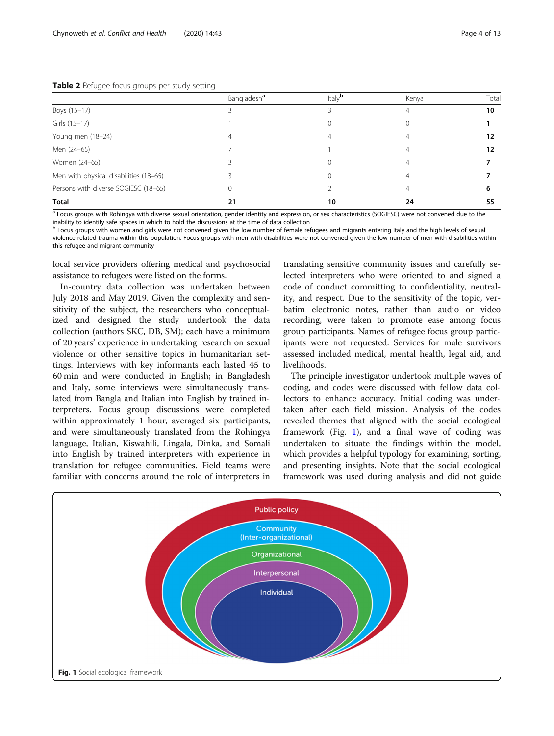#### <span id="page-3-0"></span>Table 2 Refugee focus groups per study setting

|                                        | Bangladesh <sup>a</sup> | Italy $b$ | Kenya | Tota |
|----------------------------------------|-------------------------|-----------|-------|------|
| Boys (15-17)                           |                         |           | 4     | 10   |
| Girls (15-17)                          |                         |           |       |      |
| Young men (18-24)                      |                         | 4         |       | 12   |
| Men (24-65)                            |                         |           |       | 12   |
| Women (24-65)                          |                         |           |       |      |
| Men with physical disabilities (18-65) |                         |           |       |      |
| Persons with diverse SOGIESC (18-65)   |                         |           |       | 6    |
| <b>Total</b>                           | 21                      | 10        | 24    | 55   |

a Focus groups with Rohingya with diverse sexual orientation, gender identity and expression, or sex characteristics (SOGIESC) were not convened due to the

inability to identify safe spaces in which to hold the discussions at the time of data collection<br><sup>b</sup> Focus groups with women and girls were not convened given the low number of female refugees and migrants entering Italy violence-related trauma within this population. Focus groups with men with disabilities were not convened given the low number of men with disabilities within this refugee and migrant community

local service providers offering medical and psychosocial assistance to refugees were listed on the forms.

In-country data collection was undertaken between July 2018 and May 2019. Given the complexity and sensitivity of the subject, the researchers who conceptualized and designed the study undertook the data collection (authors SKC, DB, SM); each have a minimum of 20 years' experience in undertaking research on sexual violence or other sensitive topics in humanitarian settings. Interviews with key informants each lasted 45 to 60 min and were conducted in English; in Bangladesh and Italy, some interviews were simultaneously translated from Bangla and Italian into English by trained interpreters. Focus group discussions were completed within approximately 1 hour, averaged six participants, and were simultaneously translated from the Rohingya language, Italian, Kiswahili, Lingala, Dinka, and Somali into English by trained interpreters with experience in translation for refugee communities. Field teams were familiar with concerns around the role of interpreters in

translating sensitive community issues and carefully selected interpreters who were oriented to and signed a code of conduct committing to confidentiality, neutrality, and respect. Due to the sensitivity of the topic, verbatim electronic notes, rather than audio or video recording, were taken to promote ease among focus group participants. Names of refugee focus group participants were not requested. Services for male survivors assessed included medical, mental health, legal aid, and livelihoods.

The principle investigator undertook multiple waves of coding, and codes were discussed with fellow data collectors to enhance accuracy. Initial coding was undertaken after each field mission. Analysis of the codes revealed themes that aligned with the social ecological framework (Fig. 1), and a final wave of coding was undertaken to situate the findings within the model, which provides a helpful typology for examining, sorting, and presenting insights. Note that the social ecological framework was used during analysis and did not guide

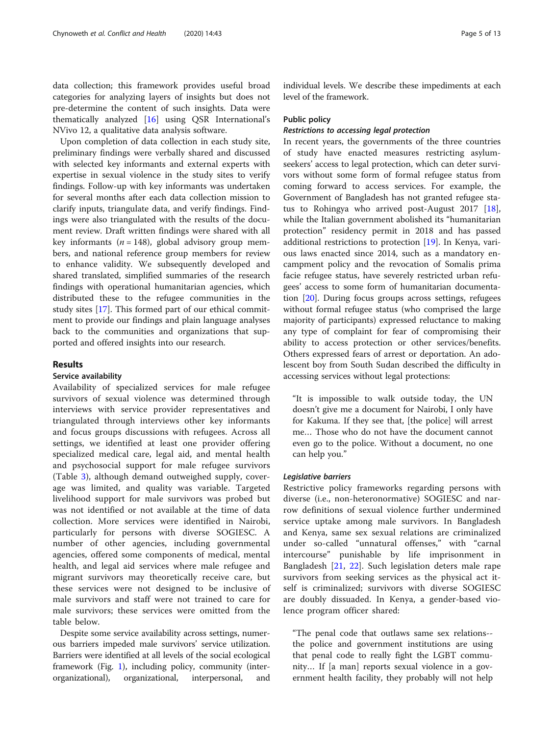data collection; this framework provides useful broad categories for analyzing layers of insights but does not pre-determine the content of such insights. Data were thematically analyzed [[16\]](#page-12-0) using QSR International's NVivo 12, a qualitative data analysis software.

Upon completion of data collection in each study site, preliminary findings were verbally shared and discussed with selected key informants and external experts with expertise in sexual violence in the study sites to verify findings. Follow-up with key informants was undertaken for several months after each data collection mission to clarify inputs, triangulate data, and verify findings. Findings were also triangulated with the results of the document review. Draft written findings were shared with all key informants ( $n = 148$ ), global advisory group members, and national reference group members for review to enhance validity. We subsequently developed and shared translated, simplified summaries of the research findings with operational humanitarian agencies, which distributed these to the refugee communities in the study sites [[17](#page-12-0)]. This formed part of our ethical commitment to provide our findings and plain language analyses back to the communities and organizations that supported and offered insights into our research.

# Results

# Service availability

Availability of specialized services for male refugee survivors of sexual violence was determined through interviews with service provider representatives and triangulated through interviews other key informants and focus groups discussions with refugees. Across all settings, we identified at least one provider offering specialized medical care, legal aid, and mental health and psychosocial support for male refugee survivors (Table [3](#page-5-0)), although demand outweighed supply, coverage was limited, and quality was variable. Targeted livelihood support for male survivors was probed but was not identified or not available at the time of data collection. More services were identified in Nairobi, particularly for persons with diverse SOGIESC. A number of other agencies, including governmental agencies, offered some components of medical, mental health, and legal aid services where male refugee and migrant survivors may theoretically receive care, but these services were not designed to be inclusive of male survivors and staff were not trained to care for male survivors; these services were omitted from the table below.

Despite some service availability across settings, numerous barriers impeded male survivors' service utilization. Barriers were identified at all levels of the social ecological framework (Fig. [1\)](#page-3-0), including policy, community (interorganizational), organizational, interpersonal, and individual levels. We describe these impediments at each level of the framework.

# Public policy

# Restrictions to accessing legal protection

In recent years, the governments of the three countries of study have enacted measures restricting asylumseekers' access to legal protection, which can deter survivors without some form of formal refugee status from coming forward to access services. For example, the Government of Bangladesh has not granted refugee status to Rohingya who arrived post-August 2017 [\[18](#page-12-0)], while the Italian government abolished its "humanitarian protection" residency permit in 2018 and has passed additional restrictions to protection  $[19]$  $[19]$ . In Kenya, various laws enacted since 2014, such as a mandatory encampment policy and the revocation of Somalis prima facie refugee status, have severely restricted urban refugees' access to some form of humanitarian documentation [\[20](#page-12-0)]. During focus groups across settings, refugees without formal refugee status (who comprised the large majority of participants) expressed reluctance to making any type of complaint for fear of compromising their ability to access protection or other services/benefits. Others expressed fears of arrest or deportation. An adolescent boy from South Sudan described the difficulty in accessing services without legal protections:

"It is impossible to walk outside today, the UN doesn't give me a document for Nairobi, I only have for Kakuma. If they see that, [the police] will arrest me… Those who do not have the document cannot even go to the police. Without a document, no one can help you."

# Legislative barriers

Restrictive policy frameworks regarding persons with diverse (i.e., non-heteronormative) SOGIESC and narrow definitions of sexual violence further undermined service uptake among male survivors. In Bangladesh and Kenya, same sex sexual relations are criminalized under so-called "unnatural offenses," with "carnal intercourse" punishable by life imprisonment in Bangladesh [\[21](#page-12-0), [22\]](#page-12-0). Such legislation deters male rape survivors from seeking services as the physical act itself is criminalized; survivors with diverse SOGIESC are doubly dissuaded. In Kenya, a gender-based violence program officer shared:

"The penal code that outlaws same sex relations- the police and government institutions are using that penal code to really fight the LGBT community… If [a man] reports sexual violence in a government health facility, they probably will not help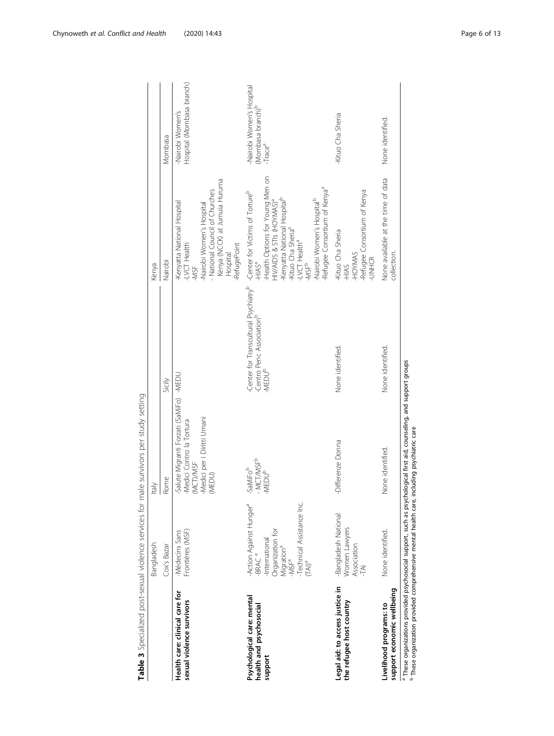<span id="page-5-0"></span>

|                                                                                                       | Bangladesh                                                                                                                                                                               | <b>Italy</b>                                                                                                                    |                                                                                                       | Kenya                                                                                                                                                                                                                                                                                                                                          |                                                                                  |
|-------------------------------------------------------------------------------------------------------|------------------------------------------------------------------------------------------------------------------------------------------------------------------------------------------|---------------------------------------------------------------------------------------------------------------------------------|-------------------------------------------------------------------------------------------------------|------------------------------------------------------------------------------------------------------------------------------------------------------------------------------------------------------------------------------------------------------------------------------------------------------------------------------------------------|----------------------------------------------------------------------------------|
|                                                                                                       | Cox's Bazar                                                                                                                                                                              | Rome                                                                                                                            | Sicily                                                                                                | Nairobi                                                                                                                                                                                                                                                                                                                                        | Mombasa                                                                          |
| Health care: clinical care for<br>sexual violence survivors                                           | Frontières (MSF)<br>-Médecins Sans                                                                                                                                                       | -Salute Migranti Forzati (SaMiFo) - MEDU<br>Medici per i Diritti Umani<br>Medici Contro la Tortura<br>(MCT)/MSF<br>(MEDU)       |                                                                                                       | Kenya (NCCK) at Jumuia Huruma<br>Hospital<br>National Council of Churches<br>-Kenyatta National Hospital<br>-LVCT Health<br>Nairobi Women's Hospital<br>-RefugePoint<br>-MSF                                                                                                                                                                   | Hospital (Mombasa branch)<br>-Nairobi Women's                                    |
| Psychological care: mental<br>health and psychosocial<br>support                                      | -Technical Assistance Inc.<br>Action Against Hunger <sup>ª</sup><br>-International<br>Organization for<br>Migration <sup>a</sup><br>-MSF <sup>a</sup><br>-BRAC <sup>a</sup><br>$(TAI)^a$ | - MCT/MSF <sup>b</sup><br>-SaMiFob<br>-MEDU <sup>b</sup>                                                                        | Center for Transcultural Psychiatry <sup>b</sup><br>-Centro Penc Association <sup>b</sup><br>$-MEDUb$ | -Health Options for Young Men on<br>HIV/AIDS & STIs (HOYMAS) <sup>a</sup><br>-Refugee Consortium of Kenya <sup>a</sup><br>-Center for Victims of Tortureb<br>Kenyatta National Hospital <sup>b</sup><br>Nairobi Women's Hospital <sup>b</sup><br>-Kituo Cha Sheria <sup>a</sup><br>-LVCT Health <sup>a</sup><br>-HIAS <sup>a</sup><br>$-MSF^b$ | Nairobi Women's Hospital<br>(Mombasa branch) <sup>b</sup><br>-Trace <sup>a</sup> |
| Legal aid: to access justice in<br>the refugee host country                                           | -Bangladesh National<br>Women Lawyers<br>Association<br>-TAI                                                                                                                             | -Differenze Donna                                                                                                               | None identified.                                                                                      | Refugee Consortium of Kenya<br>-Kituo Cha Sheria<br>HOYMAS<br>-UNHCR<br>-HIAS                                                                                                                                                                                                                                                                  | Kituo Cha Sheria                                                                 |
| support economic wellbeing<br>Livelihood programs: to                                                 | None identified.                                                                                                                                                                         | None identified.                                                                                                                | None identified.                                                                                      | None available at the time of data<br>collection.                                                                                                                                                                                                                                                                                              | None identified                                                                  |
| <sup>b</sup> These organization provided comprehensive mental health care, including psychiatric care |                                                                                                                                                                                          | <sup>a</sup> These organizations provided psychosocial support, such as psychological first aid, counseling, and support groups |                                                                                                       |                                                                                                                                                                                                                                                                                                                                                |                                                                                  |

Table 3 Specialized post-sexual violence services for male survivors per study setting Table 3 Specialized post-sexual violence services for male survivors per study setting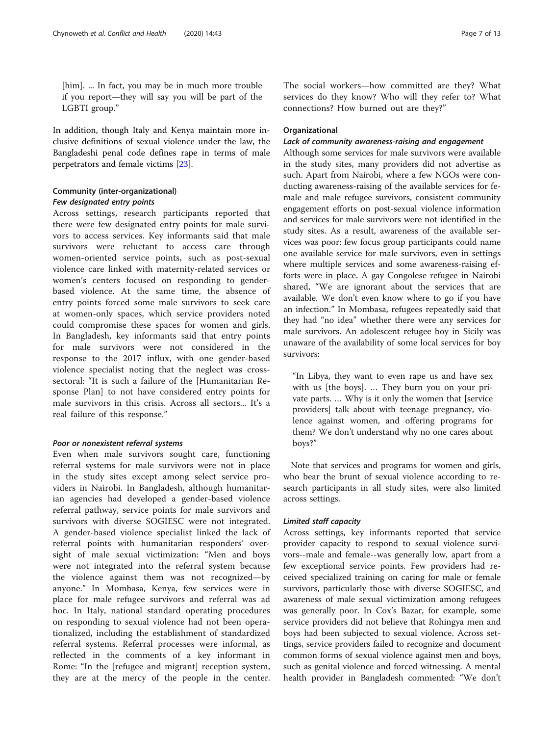[him]. ... In fact, you may be in much more trouble if you report—they will say you will be part of the LGBTI group."

In addition, though Italy and Kenya maintain more inclusive definitions of sexual violence under the law, the Bangladeshi penal code defines rape in terms of male perpetrators and female victims [\[23](#page-12-0)].

# Community (inter-organizational) Few designated entry points

Across settings, research participants reported that there were few designated entry points for male survivors to access services. Key informants said that male survivors were reluctant to access care through women-oriented service points, such as post-sexual violence care linked with maternity-related services or women's centers focused on responding to genderbased violence. At the same time, the absence of entry points forced some male survivors to seek care at women-only spaces, which service providers noted could compromise these spaces for women and girls. In Bangladesh, key informants said that entry points for male survivors were not considered in the response to the 2017 influx, with one gender-based violence specialist noting that the neglect was crosssectoral: "It is such a failure of the [Humanitarian Response Plan] to not have considered entry points for male survivors in this crisis. Across all sectors... It's a real failure of this response."

# Poor or nonexistent referral systems

Even when male survivors sought care, functioning referral systems for male survivors were not in place in the study sites except among select service providers in Nairobi. In Bangladesh, although humanitarian agencies had developed a gender-based violence referral pathway, service points for male survivors and survivors with diverse SOGIESC were not integrated. A gender-based violence specialist linked the lack of referral points with humanitarian responders' oversight of male sexual victimization: "Men and boys were not integrated into the referral system because the violence against them was not recognized—by anyone." In Mombasa, Kenya, few services were in place for male refugee survivors and referral was ad hoc. In Italy, national standard operating procedures on responding to sexual violence had not been operationalized, including the establishment of standardized referral systems. Referral processes were informal, as reflected in the comments of a key informant in Rome: "In the [refugee and migrant] reception system, they are at the mercy of the people in the center. The social workers—how committed are they? What services do they know? Who will they refer to? What connections? How burned out are they?"

# Organizational

# Lack of community awareness-raising and engagement

Although some services for male survivors were available in the study sites, many providers did not advertise as such. Apart from Nairobi, where a few NGOs were conducting awareness-raising of the available services for female and male refugee survivors, consistent community engagement efforts on post-sexual violence information and services for male survivors were not identified in the study sites. As a result, awareness of the available services was poor: few focus group participants could name one available service for male survivors, even in settings where multiple services and some awareness-raising efforts were in place. A gay Congolese refugee in Nairobi shared, "We are ignorant about the services that are available. We don't even know where to go if you have an infection." In Mombasa, refugees repeatedly said that they had "no idea" whether there were any services for male survivors. An adolescent refugee boy in Sicily was unaware of the availability of some local services for boy survivors:

"In Libya, they want to even rape us and have sex with us [the boys]. … They burn you on your private parts. … Why is it only the women that [service providers] talk about with teenage pregnancy, violence against women, and offering programs for them? We don't understand why no one cares about boys?"

Note that services and programs for women and girls, who bear the brunt of sexual violence according to research participants in all study sites, were also limited across settings.

# Limited staff capacity

Across settings, key informants reported that service provider capacity to respond to sexual violence survivors--male and female--was generally low, apart from a few exceptional service points. Few providers had received specialized training on caring for male or female survivors, particularly those with diverse SOGIESC, and awareness of male sexual victimization among refugees was generally poor. In Cox's Bazar, for example, some service providers did not believe that Rohingya men and boys had been subjected to sexual violence. Across settings, service providers failed to recognize and document common forms of sexual violence against men and boys, such as genital violence and forced witnessing. A mental health provider in Bangladesh commented: "We don't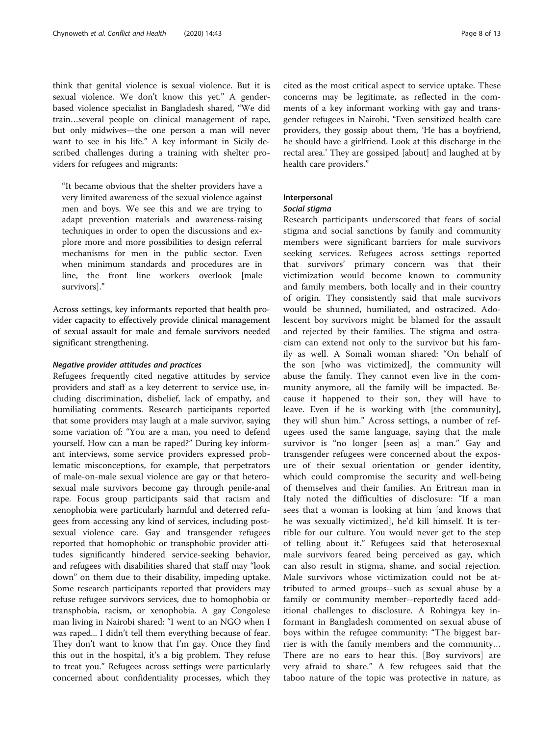think that genital violence is sexual violence. But it is sexual violence. We don't know this yet." A genderbased violence specialist in Bangladesh shared, "We did train…several people on clinical management of rape, but only midwives—the one person a man will never want to see in his life." A key informant in Sicily described challenges during a training with shelter providers for refugees and migrants:

"It became obvious that the shelter providers have a very limited awareness of the sexual violence against men and boys. We see this and we are trying to adapt prevention materials and awareness-raising techniques in order to open the discussions and explore more and more possibilities to design referral mechanisms for men in the public sector. Even when minimum standards and procedures are in line, the front line workers overlook [male survivors]."

Across settings, key informants reported that health provider capacity to effectively provide clinical management of sexual assault for male and female survivors needed significant strengthening.

# Negative provider attitudes and practices

Refugees frequently cited negative attitudes by service providers and staff as a key deterrent to service use, including discrimination, disbelief, lack of empathy, and humiliating comments. Research participants reported that some providers may laugh at a male survivor, saying some variation of: "You are a man, you need to defend yourself. How can a man be raped?" During key informant interviews, some service providers expressed problematic misconceptions, for example, that perpetrators of male-on-male sexual violence are gay or that heterosexual male survivors become gay through penile-anal rape. Focus group participants said that racism and xenophobia were particularly harmful and deterred refugees from accessing any kind of services, including postsexual violence care. Gay and transgender refugees reported that homophobic or transphobic provider attitudes significantly hindered service-seeking behavior, and refugees with disabilities shared that staff may "look down" on them due to their disability, impeding uptake. Some research participants reported that providers may refuse refugee survivors services, due to homophobia or transphobia, racism, or xenophobia. A gay Congolese man living in Nairobi shared: "I went to an NGO when I was raped... I didn't tell them everything because of fear. They don't want to know that I'm gay. Once they find this out in the hospital, it's a big problem. They refuse to treat you." Refugees across settings were particularly concerned about confidentiality processes, which they cited as the most critical aspect to service uptake. These concerns may be legitimate, as reflected in the comments of a key informant working with gay and transgender refugees in Nairobi, "Even sensitized health care providers, they gossip about them, 'He has a boyfriend, he should have a girlfriend. Look at this discharge in the rectal area.' They are gossiped [about] and laughed at by health care providers."

# Interpersonal

# Social stigma

Research participants underscored that fears of social stigma and social sanctions by family and community members were significant barriers for male survivors seeking services. Refugees across settings reported that survivors' primary concern was that their victimization would become known to community and family members, both locally and in their country of origin. They consistently said that male survivors would be shunned, humiliated, and ostracized. Adolescent boy survivors might be blamed for the assault and rejected by their families. The stigma and ostracism can extend not only to the survivor but his family as well. A Somali woman shared: "On behalf of the son [who was victimized], the community will abuse the family. They cannot even live in the community anymore, all the family will be impacted. Because it happened to their son, they will have to leave. Even if he is working with [the community], they will shun him." Across settings, a number of refugees used the same language, saying that the male survivor is "no longer [seen as] a man." Gay and transgender refugees were concerned about the exposure of their sexual orientation or gender identity, which could compromise the security and well-being of themselves and their families. An Eritrean man in Italy noted the difficulties of disclosure: "If a man sees that a woman is looking at him [and knows that he was sexually victimized], he'd kill himself. It is terrible for our culture. You would never get to the step of telling about it." Refugees said that heterosexual male survivors feared being perceived as gay, which can also result in stigma, shame, and social rejection. Male survivors whose victimization could not be attributed to armed groups--such as sexual abuse by a family or community member--reportedly faced additional challenges to disclosure. A Rohingya key informant in Bangladesh commented on sexual abuse of boys within the refugee community: "The biggest barrier is with the family members and the community… There are no ears to hear this. [Boy survivors] are very afraid to share." A few refugees said that the taboo nature of the topic was protective in nature, as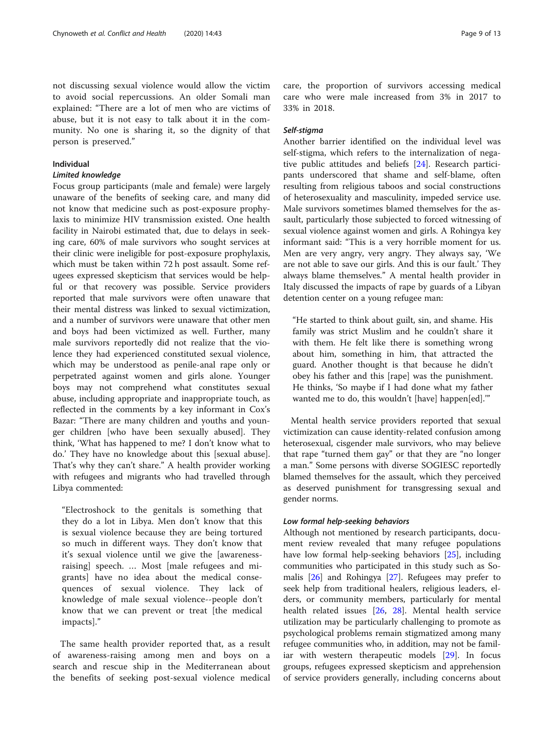not discussing sexual violence would allow the victim to avoid social repercussions. An older Somali man explained: "There are a lot of men who are victims of abuse, but it is not easy to talk about it in the community. No one is sharing it, so the dignity of that person is preserved."

# Individual

# Limited knowledge

Focus group participants (male and female) were largely unaware of the benefits of seeking care, and many did not know that medicine such as post-exposure prophylaxis to minimize HIV transmission existed. One health facility in Nairobi estimated that, due to delays in seeking care, 60% of male survivors who sought services at their clinic were ineligible for post-exposure prophylaxis, which must be taken within 72 h post assault. Some refugees expressed skepticism that services would be helpful or that recovery was possible. Service providers reported that male survivors were often unaware that their mental distress was linked to sexual victimization, and a number of survivors were unaware that other men and boys had been victimized as well. Further, many male survivors reportedly did not realize that the violence they had experienced constituted sexual violence, which may be understood as penile-anal rape only or perpetrated against women and girls alone. Younger boys may not comprehend what constitutes sexual abuse, including appropriate and inappropriate touch, as reflected in the comments by a key informant in Cox's Bazar: "There are many children and youths and younger children [who have been sexually abused]. They think, 'What has happened to me? I don't know what to do.' They have no knowledge about this [sexual abuse]. That's why they can't share." A health provider working with refugees and migrants who had travelled through Libya commented:

"Electroshock to the genitals is something that they do a lot in Libya. Men don't know that this is sexual violence because they are being tortured so much in different ways. They don't know that it's sexual violence until we give the [awarenessraising] speech. … Most [male refugees and migrants] have no idea about the medical consequences of sexual violence. They lack of knowledge of male sexual violence--people don't know that we can prevent or treat [the medical impacts]."

The same health provider reported that, as a result of awareness-raising among men and boys on a search and rescue ship in the Mediterranean about the benefits of seeking post-sexual violence medical care, the proportion of survivors accessing medical care who were male increased from 3% in 2017 to 33% in 2018.

# Self-stigma

Another barrier identified on the individual level was self-stigma, which refers to the internalization of negative public attitudes and beliefs [[24\]](#page-12-0). Research participants underscored that shame and self-blame, often resulting from religious taboos and social constructions of heterosexuality and masculinity, impeded service use. Male survivors sometimes blamed themselves for the assault, particularly those subjected to forced witnessing of sexual violence against women and girls. A Rohingya key informant said: "This is a very horrible moment for us. Men are very angry, very angry. They always say, 'We are not able to save our girls. And this is our fault.' They always blame themselves." A mental health provider in Italy discussed the impacts of rape by guards of a Libyan detention center on a young refugee man:

"He started to think about guilt, sin, and shame. His family was strict Muslim and he couldn't share it with them. He felt like there is something wrong about him, something in him, that attracted the guard. Another thought is that because he didn't obey his father and this [rape] was the punishment. He thinks, 'So maybe if I had done what my father wanted me to do, this wouldn't [have] happen[ed].'"

Mental health service providers reported that sexual victimization can cause identity-related confusion among heterosexual, cisgender male survivors, who may believe that rape "turned them gay" or that they are "no longer a man." Some persons with diverse SOGIESC reportedly blamed themselves for the assault, which they perceived as deserved punishment for transgressing sexual and gender norms.

# Low formal help-seeking behaviors

Although not mentioned by research participants, document review revealed that many refugee populations have low formal help-seeking behaviors [[25\]](#page-12-0), including communities who participated in this study such as Somalis [\[26](#page-12-0)] and Rohingya [\[27](#page-12-0)]. Refugees may prefer to seek help from traditional healers, religious leaders, elders, or community members, particularly for mental health related issues [[26,](#page-12-0) [28\]](#page-12-0). Mental health service utilization may be particularly challenging to promote as psychological problems remain stigmatized among many refugee communities who, in addition, may not be familiar with western therapeutic models [[29\]](#page-12-0). In focus groups, refugees expressed skepticism and apprehension of service providers generally, including concerns about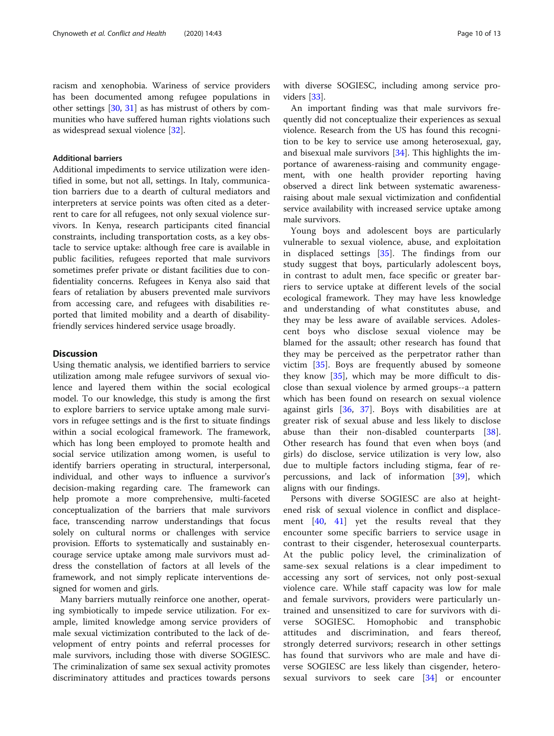racism and xenophobia. Wariness of service providers has been documented among refugee populations in other settings [\[30](#page-12-0), [31](#page-12-0)] as has mistrust of others by communities who have suffered human rights violations such as widespread sexual violence [\[32\]](#page-12-0).

# Additional barriers

Additional impediments to service utilization were identified in some, but not all, settings. In Italy, communication barriers due to a dearth of cultural mediators and interpreters at service points was often cited as a deterrent to care for all refugees, not only sexual violence survivors. In Kenya, research participants cited financial constraints, including transportation costs, as a key obstacle to service uptake: although free care is available in public facilities, refugees reported that male survivors sometimes prefer private or distant facilities due to confidentiality concerns. Refugees in Kenya also said that fears of retaliation by abusers prevented male survivors from accessing care, and refugees with disabilities reported that limited mobility and a dearth of disabilityfriendly services hindered service usage broadly.

# **Discussion**

Using thematic analysis, we identified barriers to service utilization among male refugee survivors of sexual violence and layered them within the social ecological model. To our knowledge, this study is among the first to explore barriers to service uptake among male survivors in refugee settings and is the first to situate findings within a social ecological framework. The framework, which has long been employed to promote health and social service utilization among women, is useful to identify barriers operating in structural, interpersonal, individual, and other ways to influence a survivor's decision-making regarding care. The framework can help promote a more comprehensive, multi-faceted conceptualization of the barriers that male survivors face, transcending narrow understandings that focus solely on cultural norms or challenges with service provision. Efforts to systematically and sustainably encourage service uptake among male survivors must address the constellation of factors at all levels of the framework, and not simply replicate interventions designed for women and girls.

Many barriers mutually reinforce one another, operating symbiotically to impede service utilization. For example, limited knowledge among service providers of male sexual victimization contributed to the lack of development of entry points and referral processes for male survivors, including those with diverse SOGIESC. The criminalization of same sex sexual activity promotes discriminatory attitudes and practices towards persons

with diverse SOGIESC, including among service providers [[33\]](#page-12-0).

An important finding was that male survivors frequently did not conceptualize their experiences as sexual violence. Research from the US has found this recognition to be key to service use among heterosexual, gay, and bisexual male survivors [\[34](#page-12-0)]. This highlights the importance of awareness-raising and community engagement, with one health provider reporting having observed a direct link between systematic awarenessraising about male sexual victimization and confidential service availability with increased service uptake among male survivors.

Young boys and adolescent boys are particularly vulnerable to sexual violence, abuse, and exploitation in displaced settings [[35\]](#page-12-0). The findings from our study suggest that boys, particularly adolescent boys, in contrast to adult men, face specific or greater barriers to service uptake at different levels of the social ecological framework. They may have less knowledge and understanding of what constitutes abuse, and they may be less aware of available services. Adolescent boys who disclose sexual violence may be blamed for the assault; other research has found that they may be perceived as the perpetrator rather than victim [\[35\]](#page-12-0). Boys are frequently abused by someone they know [\[35](#page-12-0)], which may be more difficult to disclose than sexual violence by armed groups--a pattern which has been found on research on sexual violence against girls [\[36](#page-12-0), [37](#page-12-0)]. Boys with disabilities are at greater risk of sexual abuse and less likely to disclose abuse than their non-disabled counterparts [\[38](#page-12-0)]. Other research has found that even when boys (and girls) do disclose, service utilization is very low, also due to multiple factors including stigma, fear of repercussions, and lack of information [[39\]](#page-12-0), which aligns with our findings.

Persons with diverse SOGIESC are also at heightened risk of sexual violence in conflict and displacement [[40,](#page-12-0) [41\]](#page-12-0) yet the results reveal that they encounter some specific barriers to service usage in contrast to their cisgender, heterosexual counterparts. At the public policy level, the criminalization of same-sex sexual relations is a clear impediment to accessing any sort of services, not only post-sexual violence care. While staff capacity was low for male and female survivors, providers were particularly untrained and unsensitized to care for survivors with diverse SOGIESC. Homophobic and transphobic attitudes and discrimination, and fears thereof, strongly deterred survivors; research in other settings has found that survivors who are male and have diverse SOGIESC are less likely than cisgender, heterosexual survivors to seek care [\[34](#page-12-0)] or encounter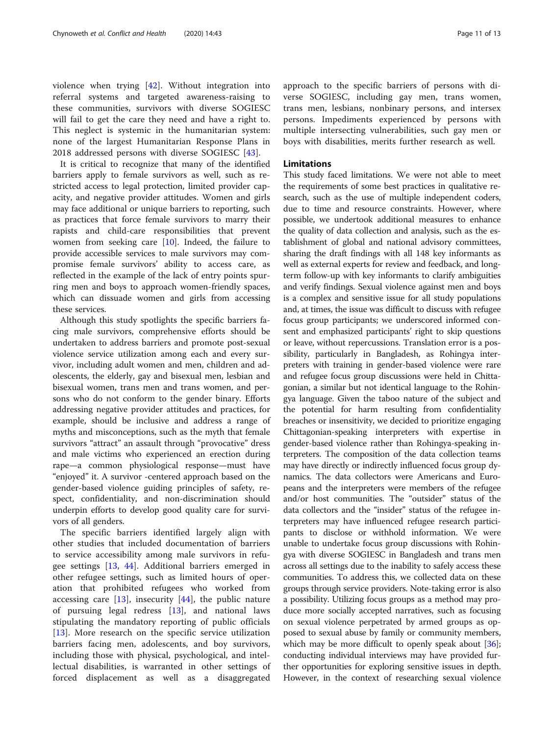violence when trying [\[42](#page-12-0)]. Without integration into referral systems and targeted awareness-raising to these communities, survivors with diverse SOGIESC will fail to get the care they need and have a right to. This neglect is systemic in the humanitarian system: none of the largest Humanitarian Response Plans in 2018 addressed persons with diverse SOGIESC [[43\]](#page-12-0).

It is critical to recognize that many of the identified barriers apply to female survivors as well, such as restricted access to legal protection, limited provider capacity, and negative provider attitudes. Women and girls may face additional or unique barriers to reporting, such as practices that force female survivors to marry their rapists and child-care responsibilities that prevent women from seeking care [[10](#page-11-0)]. Indeed, the failure to provide accessible services to male survivors may compromise female survivors' ability to access care, as reflected in the example of the lack of entry points spurring men and boys to approach women-friendly spaces, which can dissuade women and girls from accessing these services.

Although this study spotlights the specific barriers facing male survivors, comprehensive efforts should be undertaken to address barriers and promote post-sexual violence service utilization among each and every survivor, including adult women and men, children and adolescents, the elderly, gay and bisexual men, lesbian and bisexual women, trans men and trans women, and persons who do not conform to the gender binary. Efforts addressing negative provider attitudes and practices, for example, should be inclusive and address a range of myths and misconceptions, such as the myth that female survivors "attract" an assault through "provocative" dress and male victims who experienced an erection during rape—a common physiological response—must have "enjoyed" it. A survivor -centered approach based on the gender-based violence guiding principles of safety, respect, confidentiality, and non-discrimination should underpin efforts to develop good quality care for survivors of all genders.

The specific barriers identified largely align with other studies that included documentation of barriers to service accessibility among male survivors in refugee settings [\[13](#page-11-0), [44\]](#page-12-0). Additional barriers emerged in other refugee settings, such as limited hours of operation that prohibited refugees who worked from accessing care  $[13]$  $[13]$ , insecurity  $[44]$  $[44]$ , the public nature of pursuing legal redress [[13\]](#page-11-0), and national laws stipulating the mandatory reporting of public officials [[13\]](#page-11-0). More research on the specific service utilization barriers facing men, adolescents, and boy survivors, including those with physical, psychological, and intellectual disabilities, is warranted in other settings of forced displacement as well as a disaggregated approach to the specific barriers of persons with diverse SOGIESC, including gay men, trans women, trans men, lesbians, nonbinary persons, and intersex persons. Impediments experienced by persons with multiple intersecting vulnerabilities, such gay men or boys with disabilities, merits further research as well.

# Limitations

This study faced limitations. We were not able to meet the requirements of some best practices in qualitative research, such as the use of multiple independent coders, due to time and resource constraints. However, where possible, we undertook additional measures to enhance the quality of data collection and analysis, such as the establishment of global and national advisory committees, sharing the draft findings with all 148 key informants as well as external experts for review and feedback, and longterm follow-up with key informants to clarify ambiguities and verify findings. Sexual violence against men and boys is a complex and sensitive issue for all study populations and, at times, the issue was difficult to discuss with refugee focus group participants; we underscored informed consent and emphasized participants' right to skip questions or leave, without repercussions. Translation error is a possibility, particularly in Bangladesh, as Rohingya interpreters with training in gender-based violence were rare and refugee focus group discussions were held in Chittagonian, a similar but not identical language to the Rohingya language. Given the taboo nature of the subject and the potential for harm resulting from confidentiality breaches or insensitivity, we decided to prioritize engaging Chittagonian-speaking interpreters with expertise in gender-based violence rather than Rohingya-speaking interpreters. The composition of the data collection teams may have directly or indirectly influenced focus group dynamics. The data collectors were Americans and Europeans and the interpreters were members of the refugee and/or host communities. The "outsider" status of the data collectors and the "insider" status of the refugee interpreters may have influenced refugee research participants to disclose or withhold information. We were unable to undertake focus group discussions with Rohingya with diverse SOGIESC in Bangladesh and trans men across all settings due to the inability to safely access these communities. To address this, we collected data on these groups through service providers. Note-taking error is also a possibility. Utilizing focus groups as a method may produce more socially accepted narratives, such as focusing on sexual violence perpetrated by armed groups as opposed to sexual abuse by family or community members, which may be more difficult to openly speak about [[36](#page-12-0)]; conducting individual interviews may have provided further opportunities for exploring sensitive issues in depth. However, in the context of researching sexual violence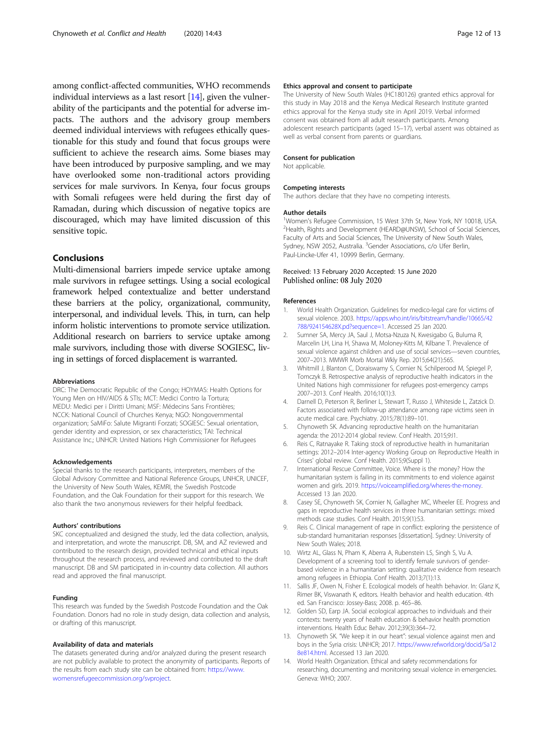<span id="page-11-0"></span>among conflict-affected communities, WHO recommends individual interviews as a last resort  $[14]$ , given the vulnerability of the participants and the potential for adverse impacts. The authors and the advisory group members deemed individual interviews with refugees ethically questionable for this study and found that focus groups were sufficient to achieve the research aims. Some biases may have been introduced by purposive sampling, and we may have overlooked some non-traditional actors providing services for male survivors. In Kenya, four focus groups with Somali refugees were held during the first day of Ramadan, during which discussion of negative topics are discouraged, which may have limited discussion of this sensitive topic.

# Conclusions

Multi-dimensional barriers impede service uptake among male survivors in refugee settings. Using a social ecological framework helped contextualize and better understand these barriers at the policy, organizational, community, interpersonal, and individual levels. This, in turn, can help inform holistic interventions to promote service utilization. Additional research on barriers to service uptake among male survivors, including those with diverse SOGIESC, living in settings of forced displacement is warranted.

### Abbreviations

DRC: The Democratic Republic of the Congo; HOYMAS: Health Options for Young Men on HIV/AIDS & STIs; MCT: Medici Contro la Tortura; MEDU: Medici per i Diritti Umani; MSF: Médecins Sans Frontières; NCCK: National Council of Churches Kenya; NGO: Nongovernmental organization; SaMiFo: Salute Migranti Forzati; SOGIESC: Sexual orientation, gender identity and expression, or sex characteristics; TAI: Technical Assistance Inc.; UNHCR: United Nations High Commissioner for Refugees

#### Acknowledgements

Special thanks to the research participants, interpreters, members of the Global Advisory Committee and National Reference Groups, UNHCR, UNICEF, the University of New South Wales, KEMRI, the Swedish Postcode Foundation, and the Oak Foundation for their support for this research. We also thank the two anonymous reviewers for their helpful feedback.

#### Authors' contributions

SKC conceptualized and designed the study, led the data collection, analysis, and interpretation, and wrote the manuscript. DB, SM, and AZ reviewed and contributed to the research design, provided technical and ethical inputs throughout the research process, and reviewed and contributed to the draft manuscript. DB and SM participated in in-country data collection. All authors read and approved the final manuscript.

#### Funding

This research was funded by the Swedish Postcode Foundation and the Oak Foundation. Donors had no role in study design, data collection and analysis, or drafting of this manuscript.

#### Availability of data and materials

The datasets generated during and/or analyzed during the present research are not publicly available to protect the anonymity of participants. Reports of the results from each study site can be obtained from: [https://www.](https://www.womensrefugeecommission.org/svproject) [womensrefugeecommission.org/svproject.](https://www.womensrefugeecommission.org/svproject)

# Ethics approval and consent to participate

The University of New South Wales (HC180126) granted ethics approval for this study in May 2018 and the Kenya Medical Research Institute granted ethics approval for the Kenya study site in April 2019. Verbal informed consent was obtained from all adult research participants. Among adolescent research participants (aged 15–17), verbal assent was obtained as well as verbal consent from parents or guardians.

#### Consent for publication

Not applicable.

#### Competing interests

The authors declare that they have no competing interests.

#### Author details

<sup>1</sup>Women's Refugee Commission, 15 West 37th St, New York, NY 10018, USA.<br><sup>2</sup>Hoalth, Pichts and Dovelopment (HEARD@UNSMA, School of Social Science <sup>2</sup>Health, Rights and Development (HEARD@UNSW), School of Social Sciences, Faculty of Arts and Social Sciences, The University of New South Wales, Sydney, NSW 2052, Australia. <sup>3</sup>Gender Associations, c/o Ufer Berlin, Paul-Lincke-Ufer 41, 10999 Berlin, Germany.

#### Received: 13 February 2020 Accepted: 15 June 2020 Published online: 08 July 2020

#### References

- 1. World Health Organization. Guidelines for medico-legal care for victims of sexual violence. 2003. [https://apps.who.int/iris/bitstream/handle/10665/42](https://apps.who.int/iris/bitstream/handle/10665/42788/924154628X.pd?sequence=1) [788/924154628X.pd?sequence=1.](https://apps.who.int/iris/bitstream/handle/10665/42788/924154628X.pd?sequence=1) Accessed 25 Jan 2020.
- 2. Sumner SA, Mercy JA, Saul J, Motsa-Nzuza N, Kwesigabo G, Buluma R, Marcelin LH, Lina H, Shawa M, Moloney-Kitts M, Kilbane T. Prevalence of sexual violence against children and use of social services—seven countries, 2007–2013. MMWR Morb Mortal Wkly Rep. 2015;64(21):565.
- 3. Whitmill J, Blanton C, Doraiswamy S, Cornier N, Schilperood M, Spiegel P, Tomczyk B. Retrospective analysis of reproductive health indicators in the United Nations high commissioner for refugees post-emergency camps 2007–2013. Conf Health. 2016;10(1):3.
- 4. Darnell D, Peterson R, Berliner L, Stewart T, Russo J, Whiteside L, Zatzick D. Factors associated with follow-up attendance among rape victims seen in acute medical care. Psychiatry. 2015;78(1):89–101.
- 5. Chynoweth SK. Advancing reproductive health on the humanitarian agenda: the 2012-2014 global review. Conf Health. 2015;9:I1.
- 6. Reis C, Ratnayake R. Taking stock of reproductive health in humanitarian settings: 2012–2014 Inter-agency Working Group on Reproductive Health in Crises' global review. Conf Health. 2015;9(Suppl 1).
- 7. International Rescue Committee, Voice. Where is the money? How the humanitarian system is failing in its commitments to end violence against women and girls. 2019. [https://voiceamplified.org/wheres-the-money.](https://voiceamplified.org/wheres-the-money/) Accessed 13 Jan 2020.
- 8. Casey SE, Chynoweth SK, Cornier N, Gallagher MC, Wheeler EE. Progress and gaps in reproductive health services in three humanitarian settings: mixed methods case studies. Conf Health. 2015;9(1):S3.
- 9. Reis C. Clinical management of rape in conflict: exploring the persistence of sub-standard humanitarian responses [dissertation]. Sydney: University of New South Wales; 2018.
- 10. Wirtz AL, Glass N, Pham K, Aberra A, Rubenstein LS, Singh S, Vu A. Development of a screening tool to identify female survivors of genderbased violence in a humanitarian setting: qualitative evidence from research among refugees in Ethiopia. Conf Health. 2013;7(1):13.
- 11. Sallis JF, Owen N, Fisher E. Ecological models of health behavior. In: Glanz K, Rimer BK, Viswanath K, editors. Health behavior and health education. 4th ed. San Francisco: Jossey-Bass; 2008. p. 465–86.
- 12. Golden SD, Earp JA. Social ecological approaches to individuals and their contexts: twenty years of health education & behavior health promotion interventions. Health Educ Behav. 2012;39(3):364–72.
- 13. Chynoweth SK. "We keep it in our heart": sexual violence against men and boys in the Syria crisis: UNHCR; 2017. [https://www.refworld.org/docid/5a12](https://www.refworld.org/docid/5a128e814.html) [8e814.html](https://www.refworld.org/docid/5a128e814.html). Accessed 13 Jan 2020.
- 14. World Health Organization. Ethical and safety recommendations for researching, documenting and monitoring sexual violence in emergencies. Geneva: WHO; 2007.